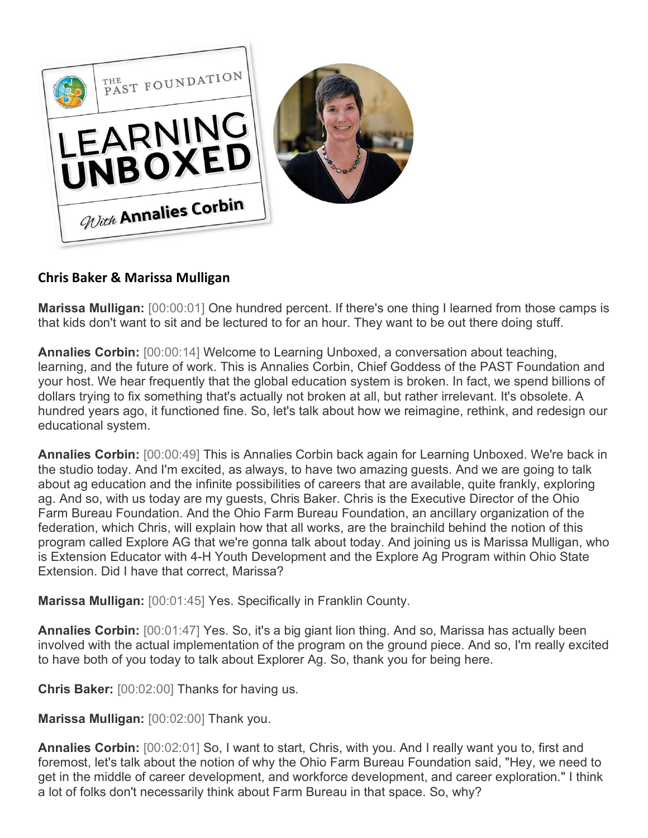

## **Chris Baker & Marissa Mulligan**

**Marissa Mulligan:** [00:00:01] One hundred percent. If there's one thing I learned from those camps is that kids don't want to sit and be lectured to for an hour. They want to be out there doing stuff.

**Annalies Corbin:** [00:00:14] Welcome to Learning Unboxed, a conversation about teaching, learning, and the future of work. This is Annalies Corbin, Chief Goddess of the PAST Foundation and your host. We hear frequently that the global education system is broken. In fact, we spend billions of dollars trying to fix something that's actually not broken at all, but rather irrelevant. It's obsolete. A hundred years ago, it functioned fine. So, let's talk about how we reimagine, rethink, and redesign our educational system.

**Annalies Corbin:** [00:00:49] This is Annalies Corbin back again for Learning Unboxed. We're back in the studio today. And I'm excited, as always, to have two amazing guests. And we are going to talk about ag education and the infinite possibilities of careers that are available, quite frankly, exploring ag. And so, with us today are my guests, Chris Baker. Chris is the Executive Director of the Ohio Farm Bureau Foundation. And the Ohio Farm Bureau Foundation, an ancillary organization of the federation, which Chris, will explain how that all works, are the brainchild behind the notion of this program called Explore AG that we're gonna talk about today. And joining us is Marissa Mulligan, who is Extension Educator with 4-H Youth Development and the Explore Ag Program within Ohio State Extension. Did I have that correct, Marissa?

**Marissa Mulligan:** [00:01:45] Yes. Specifically in Franklin County.

**Annalies Corbin:** [00:01:47] Yes. So, it's a big giant lion thing. And so, Marissa has actually been involved with the actual implementation of the program on the ground piece. And so, I'm really excited to have both of you today to talk about Explorer Ag. So, thank you for being here.

**Chris Baker:** [00:02:00] Thanks for having us.

**Marissa Mulligan:** [00:02:00] Thank you.

**Annalies Corbin:** [00:02:01] So, I want to start, Chris, with you. And I really want you to, first and foremost, let's talk about the notion of why the Ohio Farm Bureau Foundation said, "Hey, we need to get in the middle of career development, and workforce development, and career exploration." I think a lot of folks don't necessarily think about Farm Bureau in that space. So, why?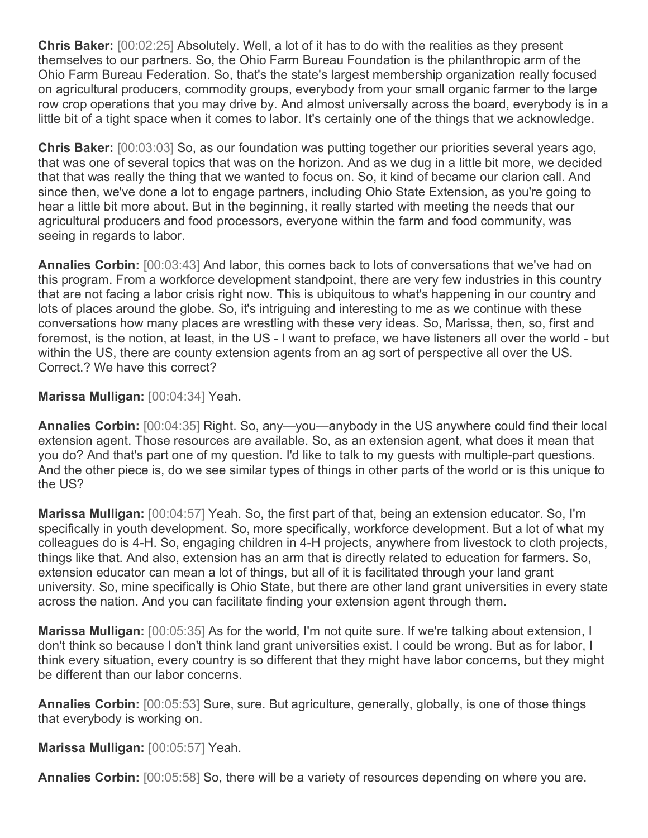**Chris Baker:** [00:02:25] Absolutely. Well, a lot of it has to do with the realities as they present themselves to our partners. So, the Ohio Farm Bureau Foundation is the philanthropic arm of the Ohio Farm Bureau Federation. So, that's the state's largest membership organization really focused on agricultural producers, commodity groups, everybody from your small organic farmer to the large row crop operations that you may drive by. And almost universally across the board, everybody is in a little bit of a tight space when it comes to labor. It's certainly one of the things that we acknowledge.

**Chris Baker:** [00:03:03] So, as our foundation was putting together our priorities several years ago, that was one of several topics that was on the horizon. And as we dug in a little bit more, we decided that that was really the thing that we wanted to focus on. So, it kind of became our clarion call. And since then, we've done a lot to engage partners, including Ohio State Extension, as you're going to hear a little bit more about. But in the beginning, it really started with meeting the needs that our agricultural producers and food processors, everyone within the farm and food community, was seeing in regards to labor.

**Annalies Corbin:** [00:03:43] And labor, this comes back to lots of conversations that we've had on this program. From a workforce development standpoint, there are very few industries in this country that are not facing a labor crisis right now. This is ubiquitous to what's happening in our country and lots of places around the globe. So, it's intriguing and interesting to me as we continue with these conversations how many places are wrestling with these very ideas. So, Marissa, then, so, first and foremost, is the notion, at least, in the US - I want to preface, we have listeners all over the world - but within the US, there are county extension agents from an ag sort of perspective all over the US. Correct.? We have this correct?

**Marissa Mulligan:** [00:04:34] Yeah.

**Annalies Corbin:** [00:04:35] Right. So, any—you—anybody in the US anywhere could find their local extension agent. Those resources are available. So, as an extension agent, what does it mean that you do? And that's part one of my question. I'd like to talk to my guests with multiple-part questions. And the other piece is, do we see similar types of things in other parts of the world or is this unique to the US?

**Marissa Mulligan:** [00:04:57] Yeah. So, the first part of that, being an extension educator. So, I'm specifically in youth development. So, more specifically, workforce development. But a lot of what my colleagues do is 4-H. So, engaging children in 4-H projects, anywhere from livestock to cloth projects, things like that. And also, extension has an arm that is directly related to education for farmers. So, extension educator can mean a lot of things, but all of it is facilitated through your land grant university. So, mine specifically is Ohio State, but there are other land grant universities in every state across the nation. And you can facilitate finding your extension agent through them.

**Marissa Mulligan:** [00:05:35] As for the world, I'm not quite sure. If we're talking about extension, I don't think so because I don't think land grant universities exist. I could be wrong. But as for labor, I think every situation, every country is so different that they might have labor concerns, but they might be different than our labor concerns.

**Annalies Corbin:** [00:05:53] Sure, sure. But agriculture, generally, globally, is one of those things that everybody is working on.

**Marissa Mulligan:** [00:05:57] Yeah.

**Annalies Corbin:** [00:05:58] So, there will be a variety of resources depending on where you are.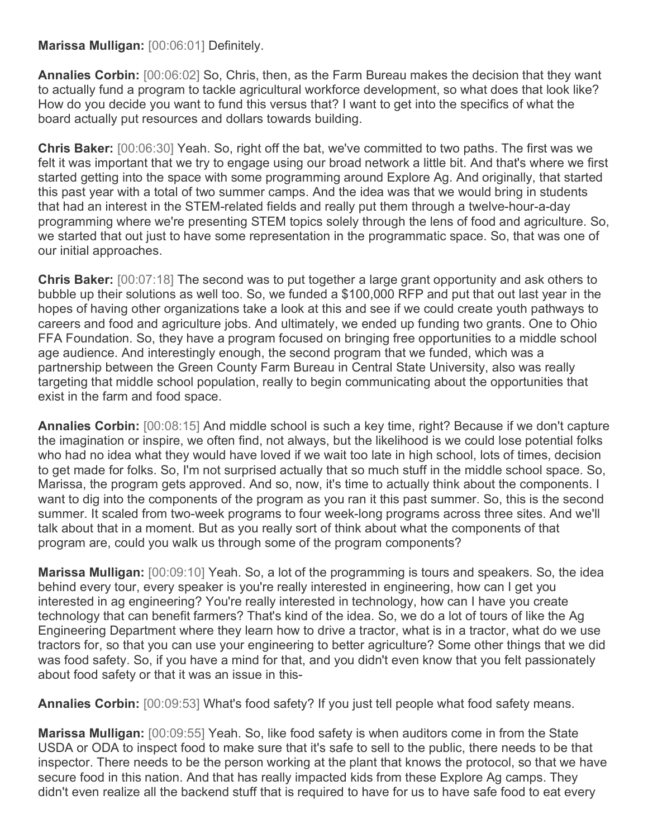## **Marissa Mulligan:** [00:06:01] Definitely.

**Annalies Corbin:** [00:06:02] So, Chris, then, as the Farm Bureau makes the decision that they want to actually fund a program to tackle agricultural workforce development, so what does that look like? How do you decide you want to fund this versus that? I want to get into the specifics of what the board actually put resources and dollars towards building.

**Chris Baker:** [00:06:30] Yeah. So, right off the bat, we've committed to two paths. The first was we felt it was important that we try to engage using our broad network a little bit. And that's where we first started getting into the space with some programming around Explore Ag. And originally, that started this past year with a total of two summer camps. And the idea was that we would bring in students that had an interest in the STEM-related fields and really put them through a twelve-hour-a-day programming where we're presenting STEM topics solely through the lens of food and agriculture. So, we started that out just to have some representation in the programmatic space. So, that was one of our initial approaches.

**Chris Baker:** [00:07:18] The second was to put together a large grant opportunity and ask others to bubble up their solutions as well too. So, we funded a \$100,000 RFP and put that out last year in the hopes of having other organizations take a look at this and see if we could create youth pathways to careers and food and agriculture jobs. And ultimately, we ended up funding two grants. One to Ohio FFA Foundation. So, they have a program focused on bringing free opportunities to a middle school age audience. And interestingly enough, the second program that we funded, which was a partnership between the Green County Farm Bureau in Central State University, also was really targeting that middle school population, really to begin communicating about the opportunities that exist in the farm and food space.

**Annalies Corbin:** [00:08:15] And middle school is such a key time, right? Because if we don't capture the imagination or inspire, we often find, not always, but the likelihood is we could lose potential folks who had no idea what they would have loved if we wait too late in high school, lots of times, decision to get made for folks. So, I'm not surprised actually that so much stuff in the middle school space. So, Marissa, the program gets approved. And so, now, it's time to actually think about the components. I want to dig into the components of the program as you ran it this past summer. So, this is the second summer. It scaled from two-week programs to four week-long programs across three sites. And we'll talk about that in a moment. But as you really sort of think about what the components of that program are, could you walk us through some of the program components?

**Marissa Mulligan:** [00:09:10] Yeah. So, a lot of the programming is tours and speakers. So, the idea behind every tour, every speaker is you're really interested in engineering, how can I get you interested in ag engineering? You're really interested in technology, how can I have you create technology that can benefit farmers? That's kind of the idea. So, we do a lot of tours of like the Ag Engineering Department where they learn how to drive a tractor, what is in a tractor, what do we use tractors for, so that you can use your engineering to better agriculture? Some other things that we did was food safety. So, if you have a mind for that, and you didn't even know that you felt passionately about food safety or that it was an issue in this-

**Annalies Corbin:** [00:09:53] What's food safety? If you just tell people what food safety means.

**Marissa Mulligan:** [00:09:55] Yeah. So, like food safety is when auditors come in from the State USDA or ODA to inspect food to make sure that it's safe to sell to the public, there needs to be that inspector. There needs to be the person working at the plant that knows the protocol, so that we have secure food in this nation. And that has really impacted kids from these Explore Ag camps. They didn't even realize all the backend stuff that is required to have for us to have safe food to eat every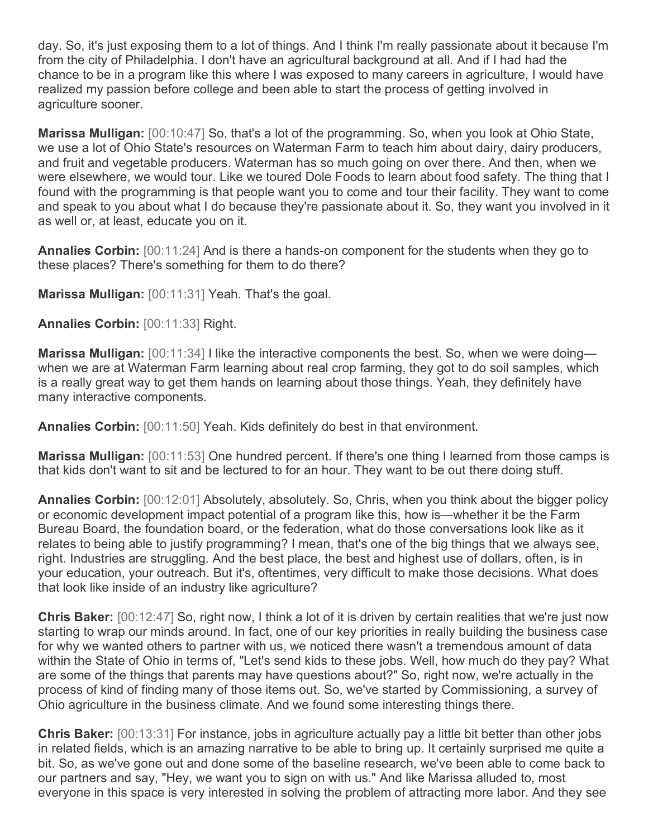day. So, it's just exposing them to a lot of things. And I think I'm really passionate about it because I'm from the city of Philadelphia. I don't have an agricultural background at all. And if I had had the chance to be in a program like this where I was exposed to many careers in agriculture, I would have realized my passion before college and been able to start the process of getting involved in agriculture sooner.

**Marissa Mulligan:** [00:10:47] So, that's a lot of the programming. So, when you look at Ohio State, we use a lot of Ohio State's resources on Waterman Farm to teach him about dairy, dairy producers, and fruit and vegetable producers. Waterman has so much going on over there. And then, when we were elsewhere, we would tour. Like we toured Dole Foods to learn about food safety. The thing that I found with the programming is that people want you to come and tour their facility. They want to come and speak to you about what I do because they're passionate about it. So, they want you involved in it as well or, at least, educate you on it.

**Annalies Corbin:** [00:11:24] And is there a hands-on component for the students when they go to these places? There's something for them to do there?

**Marissa Mulligan:** [00:11:31] Yeah. That's the goal.

**Annalies Corbin:** [00:11:33] Right.

**Marissa Mulligan:** [00:11:34] I like the interactive components the best. So, when we were doing when we are at Waterman Farm learning about real crop farming, they got to do soil samples, which is a really great way to get them hands on learning about those things. Yeah, they definitely have many interactive components.

**Annalies Corbin:** [00:11:50] Yeah. Kids definitely do best in that environment.

**Marissa Mulligan:** [00:11:53] One hundred percent. If there's one thing I learned from those camps is that kids don't want to sit and be lectured to for an hour. They want to be out there doing stuff.

**Annalies Corbin:** [00:12:01] Absolutely, absolutely. So, Chris, when you think about the bigger policy or economic development impact potential of a program like this, how is—whether it be the Farm Bureau Board, the foundation board, or the federation, what do those conversations look like as it relates to being able to justify programming? I mean, that's one of the big things that we always see, right. Industries are struggling. And the best place, the best and highest use of dollars, often, is in your education, your outreach. But it's, oftentimes, very difficult to make those decisions. What does that look like inside of an industry like agriculture?

**Chris Baker:** [00:12:47] So, right now, I think a lot of it is driven by certain realities that we're just now starting to wrap our minds around. In fact, one of our key priorities in really building the business case for why we wanted others to partner with us, we noticed there wasn't a tremendous amount of data within the State of Ohio in terms of, "Let's send kids to these jobs. Well, how much do they pay? What are some of the things that parents may have questions about?" So, right now, we're actually in the process of kind of finding many of those items out. So, we've started by Commissioning, a survey of Ohio agriculture in the business climate. And we found some interesting things there.

**Chris Baker:** [00:13:31] For instance, jobs in agriculture actually pay a little bit better than other jobs in related fields, which is an amazing narrative to be able to bring up. It certainly surprised me quite a bit. So, as we've gone out and done some of the baseline research, we've been able to come back to our partners and say, "Hey, we want you to sign on with us." And like Marissa alluded to, most everyone in this space is very interested in solving the problem of attracting more labor. And they see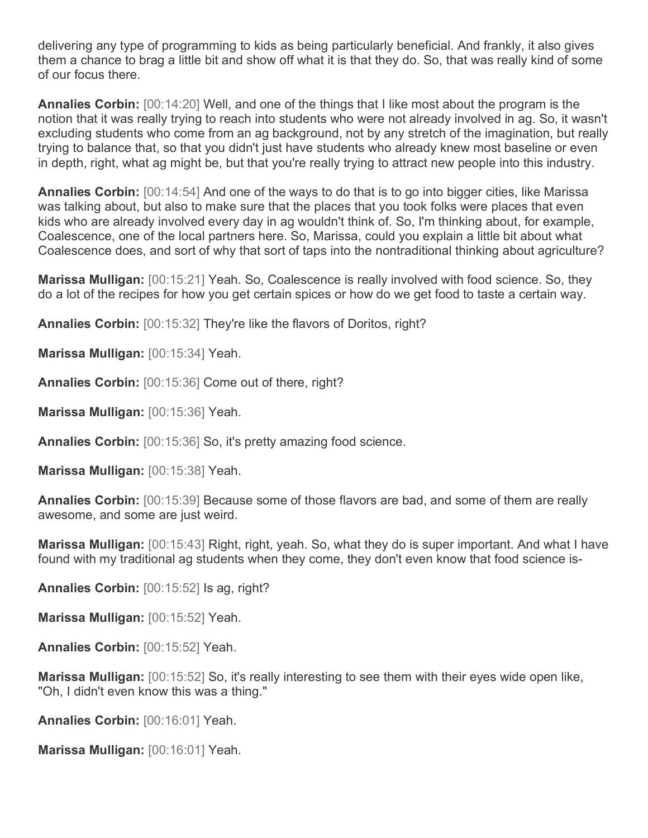delivering any type of programming to kids as being particularly beneficial. And frankly, it also gives them a chance to brag a little bit and show off what it is that they do. So, that was really kind of some of our focus there.

**Annalies Corbin:** [00:14:20] Well, and one of the things that I like most about the program is the notion that it was really trying to reach into students who were not already involved in ag. So, it wasn't excluding students who come from an ag background, not by any stretch of the imagination, but really trying to balance that, so that you didn't just have students who already knew most baseline or even in depth, right, what ag might be, but that you're really trying to attract new people into this industry.

**Annalies Corbin:** [00:14:54] And one of the ways to do that is to go into bigger cities, like Marissa was talking about, but also to make sure that the places that you took folks were places that even kids who are already involved every day in ag wouldn't think of. So, I'm thinking about, for example, Coalescence, one of the local partners here. So, Marissa, could you explain a little bit about what Coalescence does, and sort of why that sort of taps into the nontraditional thinking about agriculture?

**Marissa Mulligan:** [00:15:21] Yeah. So, Coalescence is really involved with food science. So, they do a lot of the recipes for how you get certain spices or how do we get food to taste a certain way.

**Annalies Corbin:** [00:15:32] They're like the flavors of Doritos, right?

**Marissa Mulligan:** [00:15:34] Yeah.

**Annalies Corbin:** [00:15:36] Come out of there, right?

**Marissa Mulligan:** [00:15:36] Yeah.

**Annalies Corbin:** [00:15:36] So, it's pretty amazing food science.

**Marissa Mulligan:** [00:15:38] Yeah.

**Annalies Corbin:** [00:15:39] Because some of those flavors are bad, and some of them are really awesome, and some are just weird.

**Marissa Mulligan:** [00:15:43] Right, right, yeah. So, what they do is super important. And what I have found with my traditional ag students when they come, they don't even know that food science is-

**Annalies Corbin:** [00:15:52] Is ag, right?

**Marissa Mulligan:** [00:15:52] Yeah.

**Annalies Corbin:** [00:15:52] Yeah.

**Marissa Mulligan:** [00:15:52] So, it's really interesting to see them with their eyes wide open like, "Oh, I didn't even know this was a thing."

**Annalies Corbin:** [00:16:01] Yeah.

**Marissa Mulligan:** [00:16:01] Yeah.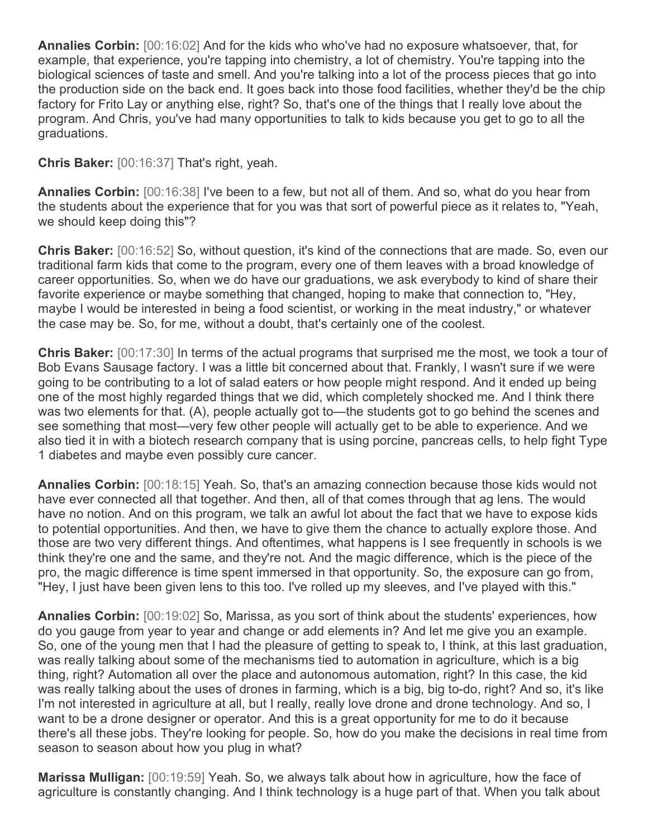**Annalies Corbin:** [00:16:02] And for the kids who who've had no exposure whatsoever, that, for example, that experience, you're tapping into chemistry, a lot of chemistry. You're tapping into the biological sciences of taste and smell. And you're talking into a lot of the process pieces that go into the production side on the back end. It goes back into those food facilities, whether they'd be the chip factory for Frito Lay or anything else, right? So, that's one of the things that I really love about the program. And Chris, you've had many opportunities to talk to kids because you get to go to all the graduations.

**Chris Baker:** [00:16:37] That's right, yeah.

**Annalies Corbin:** [00:16:38] I've been to a few, but not all of them. And so, what do you hear from the students about the experience that for you was that sort of powerful piece as it relates to, "Yeah, we should keep doing this"?

**Chris Baker:** [00:16:52] So, without question, it's kind of the connections that are made. So, even our traditional farm kids that come to the program, every one of them leaves with a broad knowledge of career opportunities. So, when we do have our graduations, we ask everybody to kind of share their favorite experience or maybe something that changed, hoping to make that connection to, "Hey, maybe I would be interested in being a food scientist, or working in the meat industry," or whatever the case may be. So, for me, without a doubt, that's certainly one of the coolest.

**Chris Baker:** [00:17:30] In terms of the actual programs that surprised me the most, we took a tour of Bob Evans Sausage factory. I was a little bit concerned about that. Frankly, I wasn't sure if we were going to be contributing to a lot of salad eaters or how people might respond. And it ended up being one of the most highly regarded things that we did, which completely shocked me. And I think there was two elements for that. (A), people actually got to—the students got to go behind the scenes and see something that most—very few other people will actually get to be able to experience. And we also tied it in with a biotech research company that is using porcine, pancreas cells, to help fight Type 1 diabetes and maybe even possibly cure cancer.

**Annalies Corbin:** [00:18:15] Yeah. So, that's an amazing connection because those kids would not have ever connected all that together. And then, all of that comes through that ag lens. The would have no notion. And on this program, we talk an awful lot about the fact that we have to expose kids to potential opportunities. And then, we have to give them the chance to actually explore those. And those are two very different things. And oftentimes, what happens is I see frequently in schools is we think they're one and the same, and they're not. And the magic difference, which is the piece of the pro, the magic difference is time spent immersed in that opportunity. So, the exposure can go from, "Hey, I just have been given lens to this too. I've rolled up my sleeves, and I've played with this."

**Annalies Corbin:** [00:19:02] So, Marissa, as you sort of think about the students' experiences, how do you gauge from year to year and change or add elements in? And let me give you an example. So, one of the young men that I had the pleasure of getting to speak to, I think, at this last graduation, was really talking about some of the mechanisms tied to automation in agriculture, which is a big thing, right? Automation all over the place and autonomous automation, right? In this case, the kid was really talking about the uses of drones in farming, which is a big, big to-do, right? And so, it's like I'm not interested in agriculture at all, but I really, really love drone and drone technology. And so, I want to be a drone designer or operator. And this is a great opportunity for me to do it because there's all these jobs. They're looking for people. So, how do you make the decisions in real time from season to season about how you plug in what?

**Marissa Mulligan:** [00:19:59] Yeah. So, we always talk about how in agriculture, how the face of agriculture is constantly changing. And I think technology is a huge part of that. When you talk about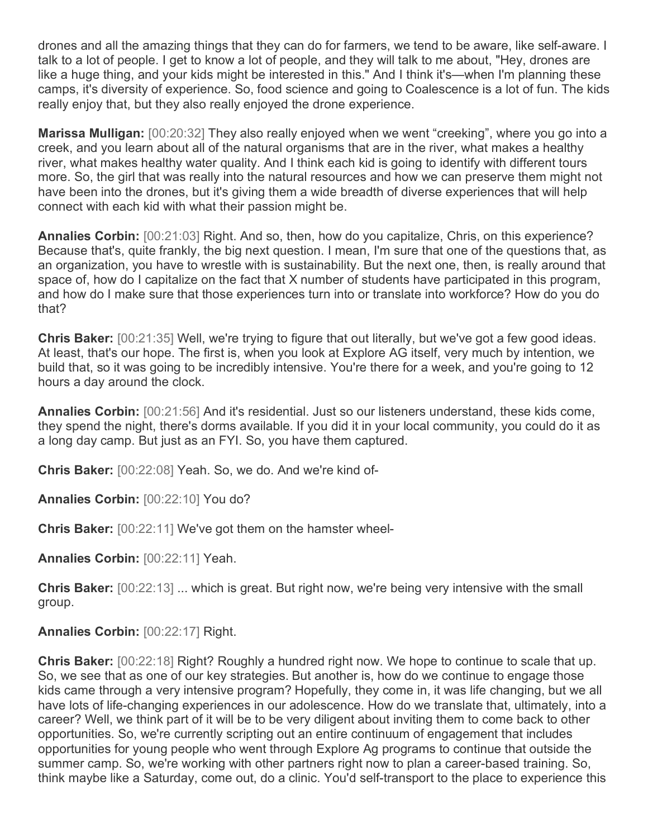drones and all the amazing things that they can do for farmers, we tend to be aware, like self-aware. I talk to a lot of people. I get to know a lot of people, and they will talk to me about, "Hey, drones are like a huge thing, and your kids might be interested in this." And I think it's—when I'm planning these camps, it's diversity of experience. So, food science and going to Coalescence is a lot of fun. The kids really enjoy that, but they also really enjoyed the drone experience.

**Marissa Mulligan:** [00:20:32] They also really enjoyed when we went "creeking", where you go into a creek, and you learn about all of the natural organisms that are in the river, what makes a healthy river, what makes healthy water quality. And I think each kid is going to identify with different tours more. So, the girl that was really into the natural resources and how we can preserve them might not have been into the drones, but it's giving them a wide breadth of diverse experiences that will help connect with each kid with what their passion might be.

**Annalies Corbin:** [00:21:03] Right. And so, then, how do you capitalize, Chris, on this experience? Because that's, quite frankly, the big next question. I mean, I'm sure that one of the questions that, as an organization, you have to wrestle with is sustainability. But the next one, then, is really around that space of, how do I capitalize on the fact that X number of students have participated in this program, and how do I make sure that those experiences turn into or translate into workforce? How do you do that?

**Chris Baker:** [00:21:35] Well, we're trying to figure that out literally, but we've got a few good ideas. At least, that's our hope. The first is, when you look at Explore AG itself, very much by intention, we build that, so it was going to be incredibly intensive. You're there for a week, and you're going to 12 hours a day around the clock.

**Annalies Corbin:** [00:21:56] And it's residential. Just so our listeners understand, these kids come, they spend the night, there's dorms available. If you did it in your local community, you could do it as a long day camp. But just as an FYI. So, you have them captured.

**Chris Baker:** [00:22:08] Yeah. So, we do. And we're kind of-

**Annalies Corbin:** [00:22:10] You do?

**Chris Baker:** [00:22:11] We've got them on the hamster wheel-

**Annalies Corbin:** [00:22:11] Yeah.

**Chris Baker:** [00:22:13] ... which is great. But right now, we're being very intensive with the small group.

**Annalies Corbin:** [00:22:17] Right.

**Chris Baker:** [00:22:18] Right? Roughly a hundred right now. We hope to continue to scale that up. So, we see that as one of our key strategies. But another is, how do we continue to engage those kids came through a very intensive program? Hopefully, they come in, it was life changing, but we all have lots of life-changing experiences in our adolescence. How do we translate that, ultimately, into a career? Well, we think part of it will be to be very diligent about inviting them to come back to other opportunities. So, we're currently scripting out an entire continuum of engagement that includes opportunities for young people who went through Explore Ag programs to continue that outside the summer camp. So, we're working with other partners right now to plan a career-based training. So, think maybe like a Saturday, come out, do a clinic. You'd self-transport to the place to experience this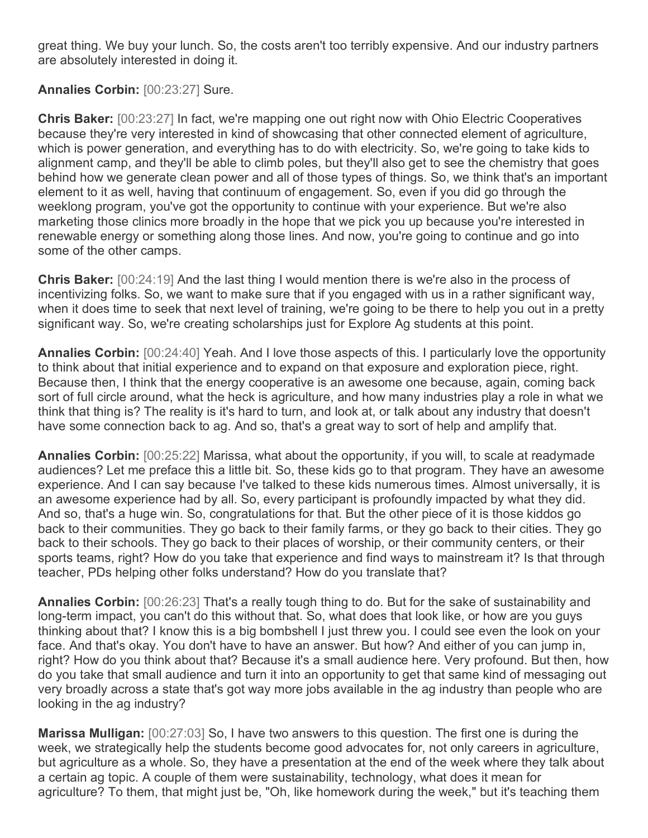great thing. We buy your lunch. So, the costs aren't too terribly expensive. And our industry partners are absolutely interested in doing it.

**Annalies Corbin:** [00:23:27] Sure.

**Chris Baker:** [00:23:27] In fact, we're mapping one out right now with Ohio Electric Cooperatives because they're very interested in kind of showcasing that other connected element of agriculture, which is power generation, and everything has to do with electricity. So, we're going to take kids to alignment camp, and they'll be able to climb poles, but they'll also get to see the chemistry that goes behind how we generate clean power and all of those types of things. So, we think that's an important element to it as well, having that continuum of engagement. So, even if you did go through the weeklong program, you've got the opportunity to continue with your experience. But we're also marketing those clinics more broadly in the hope that we pick you up because you're interested in renewable energy or something along those lines. And now, you're going to continue and go into some of the other camps.

**Chris Baker:** [00:24:19] And the last thing I would mention there is we're also in the process of incentivizing folks. So, we want to make sure that if you engaged with us in a rather significant way, when it does time to seek that next level of training, we're going to be there to help you out in a pretty significant way. So, we're creating scholarships just for Explore Ag students at this point.

**Annalies Corbin:** [00:24:40] Yeah. And I love those aspects of this. I particularly love the opportunity to think about that initial experience and to expand on that exposure and exploration piece, right. Because then, I think that the energy cooperative is an awesome one because, again, coming back sort of full circle around, what the heck is agriculture, and how many industries play a role in what we think that thing is? The reality is it's hard to turn, and look at, or talk about any industry that doesn't have some connection back to ag. And so, that's a great way to sort of help and amplify that.

**Annalies Corbin:** [00:25:22] Marissa, what about the opportunity, if you will, to scale at readymade audiences? Let me preface this a little bit. So, these kids go to that program. They have an awesome experience. And I can say because I've talked to these kids numerous times. Almost universally, it is an awesome experience had by all. So, every participant is profoundly impacted by what they did. And so, that's a huge win. So, congratulations for that. But the other piece of it is those kiddos go back to their communities. They go back to their family farms, or they go back to their cities. They go back to their schools. They go back to their places of worship, or their community centers, or their sports teams, right? How do you take that experience and find ways to mainstream it? Is that through teacher, PDs helping other folks understand? How do you translate that?

**Annalies Corbin:** [00:26:23] That's a really tough thing to do. But for the sake of sustainability and long-term impact, you can't do this without that. So, what does that look like, or how are you guys thinking about that? I know this is a big bombshell I just threw you. I could see even the look on your face. And that's okay. You don't have to have an answer. But how? And either of you can jump in, right? How do you think about that? Because it's a small audience here. Very profound. But then, how do you take that small audience and turn it into an opportunity to get that same kind of messaging out very broadly across a state that's got way more jobs available in the ag industry than people who are looking in the ag industry?

**Marissa Mulligan:** [00:27:03] So, I have two answers to this question. The first one is during the week, we strategically help the students become good advocates for, not only careers in agriculture, but agriculture as a whole. So, they have a presentation at the end of the week where they talk about a certain ag topic. A couple of them were sustainability, technology, what does it mean for agriculture? To them, that might just be, "Oh, like homework during the week," but it's teaching them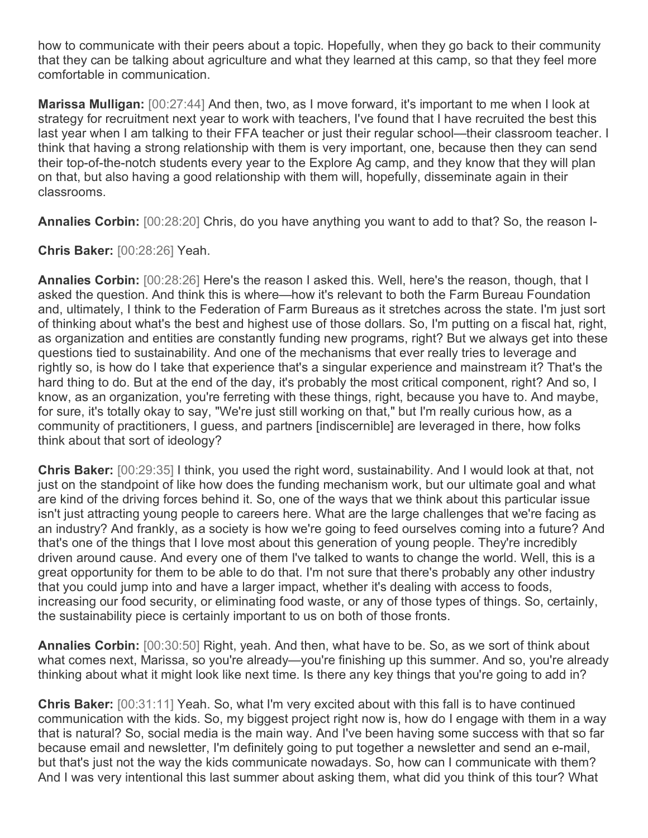how to communicate with their peers about a topic. Hopefully, when they go back to their community that they can be talking about agriculture and what they learned at this camp, so that they feel more comfortable in communication.

**Marissa Mulligan:** [00:27:44] And then, two, as I move forward, it's important to me when I look at strategy for recruitment next year to work with teachers, I've found that I have recruited the best this last year when I am talking to their FFA teacher or just their regular school—their classroom teacher. I think that having a strong relationship with them is very important, one, because then they can send their top-of-the-notch students every year to the Explore Ag camp, and they know that they will plan on that, but also having a good relationship with them will, hopefully, disseminate again in their classrooms.

**Annalies Corbin:** [00:28:20] Chris, do you have anything you want to add to that? So, the reason I-

**Chris Baker:** [00:28:26] Yeah.

**Annalies Corbin:** [00:28:26] Here's the reason I asked this. Well, here's the reason, though, that I asked the question. And think this is where—how it's relevant to both the Farm Bureau Foundation and, ultimately, I think to the Federation of Farm Bureaus as it stretches across the state. I'm just sort of thinking about what's the best and highest use of those dollars. So, I'm putting on a fiscal hat, right, as organization and entities are constantly funding new programs, right? But we always get into these questions tied to sustainability. And one of the mechanisms that ever really tries to leverage and rightly so, is how do I take that experience that's a singular experience and mainstream it? That's the hard thing to do. But at the end of the day, it's probably the most critical component, right? And so, I know, as an organization, you're ferreting with these things, right, because you have to. And maybe, for sure, it's totally okay to say, "We're just still working on that," but I'm really curious how, as a community of practitioners, I guess, and partners [indiscernible] are leveraged in there, how folks think about that sort of ideology?

**Chris Baker:** [00:29:35] I think, you used the right word, sustainability. And I would look at that, not just on the standpoint of like how does the funding mechanism work, but our ultimate goal and what are kind of the driving forces behind it. So, one of the ways that we think about this particular issue isn't just attracting young people to careers here. What are the large challenges that we're facing as an industry? And frankly, as a society is how we're going to feed ourselves coming into a future? And that's one of the things that I love most about this generation of young people. They're incredibly driven around cause. And every one of them I've talked to wants to change the world. Well, this is a great opportunity for them to be able to do that. I'm not sure that there's probably any other industry that you could jump into and have a larger impact, whether it's dealing with access to foods, increasing our food security, or eliminating food waste, or any of those types of things. So, certainly, the sustainability piece is certainly important to us on both of those fronts.

**Annalies Corbin:** [00:30:50] Right, yeah. And then, what have to be. So, as we sort of think about what comes next, Marissa, so you're already—you're finishing up this summer. And so, you're already thinking about what it might look like next time. Is there any key things that you're going to add in?

**Chris Baker:** [00:31:11] Yeah. So, what I'm very excited about with this fall is to have continued communication with the kids. So, my biggest project right now is, how do I engage with them in a way that is natural? So, social media is the main way. And I've been having some success with that so far because email and newsletter, I'm definitely going to put together a newsletter and send an e-mail, but that's just not the way the kids communicate nowadays. So, how can I communicate with them? And I was very intentional this last summer about asking them, what did you think of this tour? What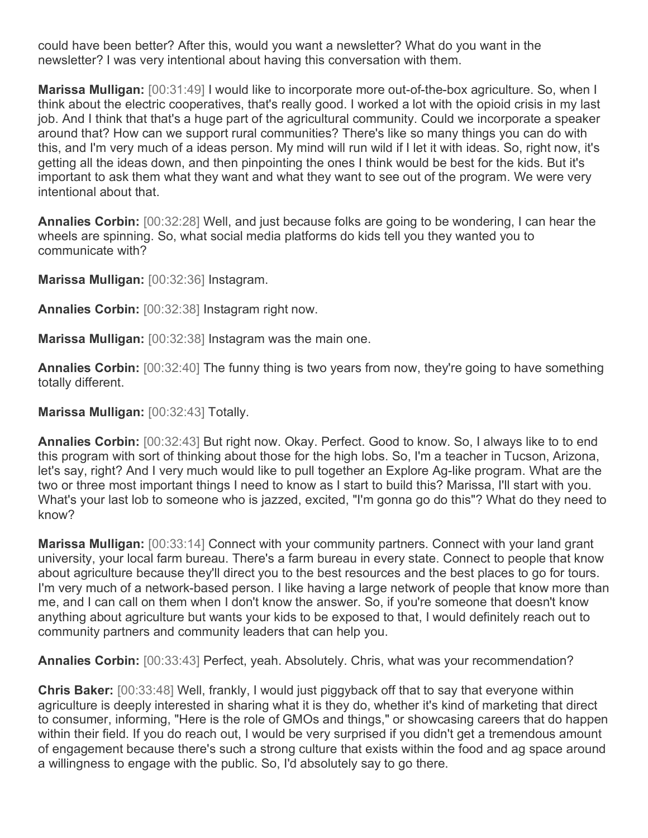could have been better? After this, would you want a newsletter? What do you want in the newsletter? I was very intentional about having this conversation with them.

**Marissa Mulligan:** [00:31:49] I would like to incorporate more out-of-the-box agriculture. So, when I think about the electric cooperatives, that's really good. I worked a lot with the opioid crisis in my last job. And I think that that's a huge part of the agricultural community. Could we incorporate a speaker around that? How can we support rural communities? There's like so many things you can do with this, and I'm very much of a ideas person. My mind will run wild if I let it with ideas. So, right now, it's getting all the ideas down, and then pinpointing the ones I think would be best for the kids. But it's important to ask them what they want and what they want to see out of the program. We were very intentional about that.

**Annalies Corbin:** [00:32:28] Well, and just because folks are going to be wondering, I can hear the wheels are spinning. So, what social media platforms do kids tell you they wanted you to communicate with?

**Marissa Mulligan:** [00:32:36] Instagram.

**Annalies Corbin:** [00:32:38] Instagram right now.

**Marissa Mulligan:** [00:32:38] Instagram was the main one.

**Annalies Corbin:** [00:32:40] The funny thing is two years from now, they're going to have something totally different.

**Marissa Mulligan:** [00:32:43] Totally.

**Annalies Corbin:** [00:32:43] But right now. Okay. Perfect. Good to know. So, I always like to to end this program with sort of thinking about those for the high lobs. So, I'm a teacher in Tucson, Arizona, let's say, right? And I very much would like to pull together an Explore Ag-like program. What are the two or three most important things I need to know as I start to build this? Marissa, I'll start with you. What's your last lob to someone who is jazzed, excited, "I'm gonna go do this"? What do they need to know?

**Marissa Mulligan:** [00:33:14] Connect with your community partners. Connect with your land grant university, your local farm bureau. There's a farm bureau in every state. Connect to people that know about agriculture because they'll direct you to the best resources and the best places to go for tours. I'm very much of a network-based person. I like having a large network of people that know more than me, and I can call on them when I don't know the answer. So, if you're someone that doesn't know anything about agriculture but wants your kids to be exposed to that, I would definitely reach out to community partners and community leaders that can help you.

**Annalies Corbin:** [00:33:43] Perfect, yeah. Absolutely. Chris, what was your recommendation?

**Chris Baker:** [00:33:48] Well, frankly, I would just piggyback off that to say that everyone within agriculture is deeply interested in sharing what it is they do, whether it's kind of marketing that direct to consumer, informing, "Here is the role of GMOs and things," or showcasing careers that do happen within their field. If you do reach out, I would be very surprised if you didn't get a tremendous amount of engagement because there's such a strong culture that exists within the food and ag space around a willingness to engage with the public. So, I'd absolutely say to go there.